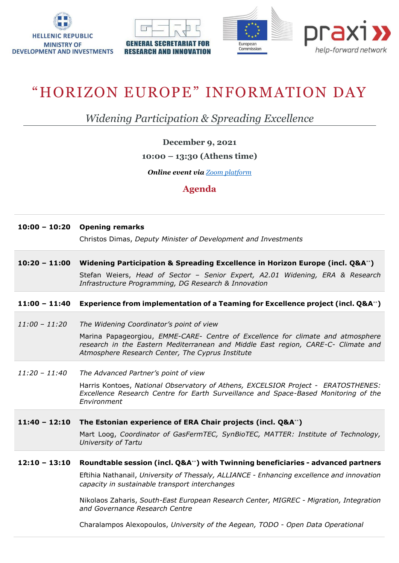







# "HORIZON EUROPE" INFORMATION DAY

*Widening Participation & Spreading Excellence*

**December 9, 2021**

# **10:00 – 13:30 (Athens time)**

*Online event via [Zoom platform](https://us02web.zoom.us/meeting/register/tZIpdemqrjwrH9WSd-BPHgsUChi2hL6tDVve)*

# **Agenda**

## **10:00 – 10:20 Opening remarks**

Christos Dimas, *Deputy Minister of Development and Investments*

**10:20 – 11:00 Widening Participation & Spreading Excellence in Horizon Europe (incl. Q&A**\*\***)** Stefan Weiers, *Head of Sector – Senior Expert, A2.01 Widening, ERA & Research Infrastructure Programming, DG Research & Innovation*

## **11:00 – 11:40 Experience from implementation of a Teaming for Excellence project (incl. Q&A**\*\***)**

*11:00 – 11:20 The Widening Coordinator's point of view*

Marina Papageorgiou, *EMME-CARE- Centre of Excellence for climate and atmosphere research in the Eastern Mediterranean and Middle East region, CARE-C- Climate and Atmosphere Research Center, The Cyprus Institute*

*11:20 – 11:40 The Αdvanced Partner's point of view*

Harris Kontoes, *National Observatory of Athens, EXCELSIOR Project - ERATOSTHENES: Excellence Research Centre for Earth Surveillance and Space-Based Monitoring of the Environment*

## **11:40 – 12:10 The Estonian experience of ERA Chair projects (incl. Q&A**\*\***)**

Mart Loog, *Coordinator of GasFermTEC, SynBioTEC, MATTER: Institute of Technology, University of Tartu*

#### **12:10 – 13:10 Roundtable session (incl. Q&A**\*\***) with Twinning beneficiaries - advanced partners**

Eftihia Nathanail, *University of Thessaly, ALLIANCE - Enhancing excellence and innovation capacity in sustainable transport interchanges*

Nikolaos Zaharis, *South-East European Research Center, MIGREC - Migration, Integration and Governance Research Centre*

Charalampos Alexopoulos, *University of the Aegean, TODO - Open Data Operational*